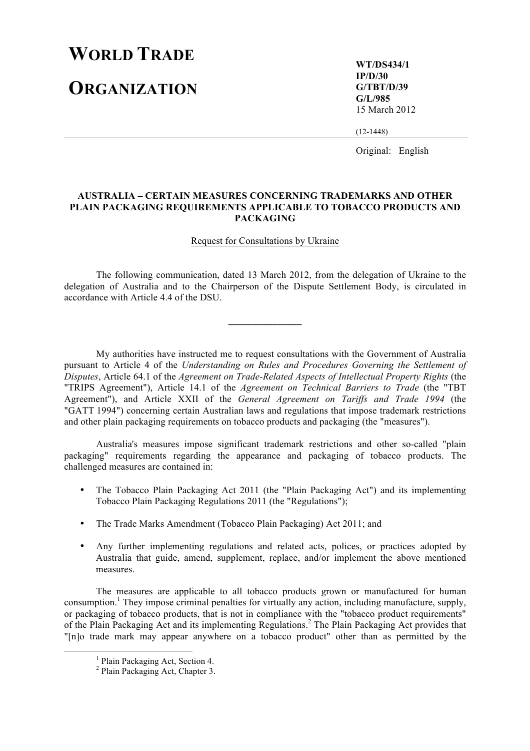## **WORLD TRADE**

**ORGANIZATION**

**WT/DS434/1 IP/D/30 G/TBT/D/39 G/L/985** 15 March 2012

(12-1448)

Original: English

## **AUSTRALIA – CERTAIN MEASURES CONCERNING TRADEMARKS AND OTHER PLAIN PACKAGING REQUIREMENTS APPLICABLE TO TOBACCO PRODUCTS AND PACKAGING**

## Request for Consultations by Ukraine

The following communication, dated 13 March 2012, from the delegation of Ukraine to the delegation of Australia and to the Chairperson of the Dispute Settlement Body, is circulated in accordance with Article 4.4 of the DSU.

**\_\_\_\_\_\_\_\_\_\_\_\_\_\_\_**

My authorities have instructed me to request consultations with the Government of Australia pursuant to Article 4 of the *Understanding on Rules and Procedures Governing the Settlement of Disputes*, Article 64.1 of the *Agreement on Trade-Related Aspects of Intellectual Property Rights* (the "TRIPS Agreement"), Article 14.1 of the *Agreement on Technical Barriers to Trade* (the "TBT Agreement"), and Article XXII of the *General Agreement on Tariffs and Trade 1994* (the "GATT 1994") concerning certain Australian laws and regulations that impose trademark restrictions and other plain packaging requirements on tobacco products and packaging (the "measures").

Australia's measures impose significant trademark restrictions and other so-called "plain packaging" requirements regarding the appearance and packaging of tobacco products. The challenged measures are contained in:

- The Tobacco Plain Packaging Act 2011 (the "Plain Packaging Act") and its implementing Tobacco Plain Packaging Regulations 2011 (the "Regulations");
- The Trade Marks Amendment (Tobacco Plain Packaging) Act 2011; and
- Any further implementing regulations and related acts, polices, or practices adopted by Australia that guide, amend, supplement, replace, and/or implement the above mentioned measures.

The measures are applicable to all tobacco products grown or manufactured for human consumption.<sup>1</sup> They impose criminal penalties for virtually any action, including manufacture, supply, or packaging of tobacco products, that is not in compliance with the "tobacco product requirements" of the Plain Packaging Act and its implementing Regulations.2 The Plain Packaging Act provides that "[n]o trade mark may appear anywhere on a tobacco product" other than as permitted by the

 <sup>1</sup> Plain Packaging Act, Section 4.

<sup>2</sup> Plain Packaging Act, Chapter 3.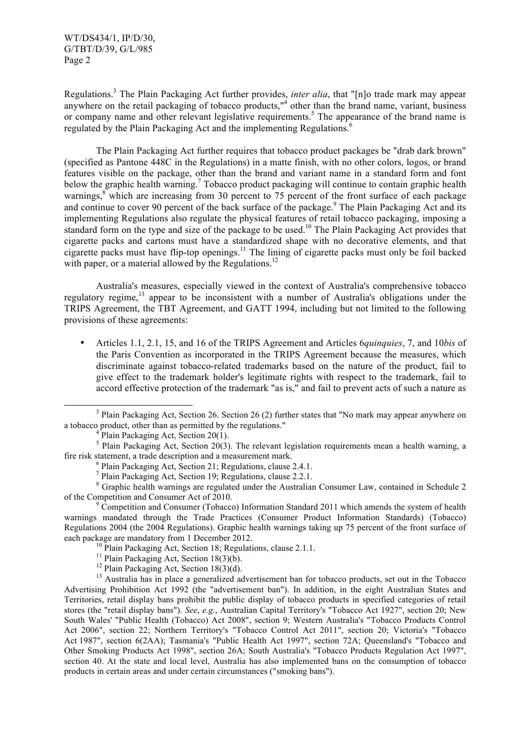WT/DS434/1, IP/D/30, G/TBT/D/39, G/L/985 Page 2

Regulations.3 The Plain Packaging Act further provides, *inter alia*, that "[n]o trade mark may appear anywhere on the retail packaging of tobacco products,"<sup>4</sup> other than the brand name, variant, business or company name and other relevant legislative requirements.<sup>5</sup> The appearance of the brand name is regulated by the Plain Packaging Act and the implementing Regulations.<sup>6</sup>

The Plain Packaging Act further requires that tobacco product packages be "drab dark brown" (specified as Pantone 448C in the Regulations) in a matte finish, with no other colors, logos, or brand features visible on the package, other than the brand and variant name in a standard form and font below the graphic health warning.<sup>7</sup> Tobacco product packaging will continue to contain graphic health warnings, $8$  which are increasing from 30 percent to 75 percent of the front surface of each package and continue to cover 90 percent of the back surface of the package.<sup>9</sup> The Plain Packaging Act and its implementing Regulations also regulate the physical features of retail tobacco packaging, imposing a standard form on the type and size of the package to be used.<sup>10</sup> The Plain Packaging Act provides that cigarette packs and cartons must have a standardized shape with no decorative elements, and that cigarette packs must have flip-top openings.<sup>11</sup> The lining of cigarette packs must only be foil backed with paper, or a material allowed by the Regulations.<sup>12</sup>

Australia's measures, especially viewed in the context of Australia's comprehensive tobacco regulatory regime, $13$  appear to be inconsistent with a number of Australia's obligations under the TRIPS Agreement, the TBT Agreement, and GATT 1994, including but not limited to the following provisions of these agreements:

• Articles 1.1, 2.1, 15, and 16 of the TRIPS Agreement and Articles 6*quinquies*, 7, and 10*bis* of the Paris Convention as incorporated in the TRIPS Agreement because the measures, which discriminate against tobacco-related trademarks based on the nature of the product, fail to give effect to the trademark holder's legitimate rights with respect to the trademark, fail to accord effective protection of the trademark "as is," and fail to prevent acts of such a nature as

of the Competition and Consumer Act of 2010.<br><sup>9</sup> Competition and Consumer (Tobacco) Information Standard 2011 which amends the system of health

warnings mandated through the Trade Practices (Consumer Product Information Standards) (Tobacco) Regulations 2004 (the 2004 Regulations). Graphic health warnings taking up 75 percent of the front surface of

- 
- 

each package are mandatory from 1 December 2012.<br>
<sup>10</sup> Plain Packaging Act, Section 18; Regulations, clause 2.1.1.<br>
<sup>11</sup> Plain Packaging Act, Section 18(3)(b).<br>
<sup>12</sup> Plain Packaging Act, Section 18(3)(d).<br>
<sup>13</sup> Australia Advertising Prohibition Act 1992 (the "advertisement ban"). In addition, in the eight Australian States and Territories, retail display bans prohibit the public display of tobacco products in specified categories of retail stores (the "retail display bans"). *See*, *e.g.*, Australian Capital Territory's "Tobacco Act 1927", section 20; New South Wales' "Public Health (Tobacco) Act 2008", section 9; Western Australia's "Tobacco Products Control Act 2006", section 22; Northern Territory's "Tobacco Control Act 2011", section 20; Victoria's "Tobacco Act 1987", section 6(2AA); Tasmania's "Public Health Act 1997", section 72A; Queensland's "Tobacco and Other Smoking Products Act 1998", section 26A; South Australia's "Tobacco Products Regulation Act 1997", section 40. At the state and local level, Australia has also implemented bans on the consumption of tobacco products in certain areas and under certain circumstances ("smoking bans").

<sup>&</sup>lt;sup>3</sup> Plain Packaging Act, Section 26. Section 26 (2) further states that "No mark may appear anywhere on a tobacco product, other than as permitted by the regulations." <sup>4</sup> Plain Packaging Act, Section 20(1).

<sup>&</sup>lt;sup>5</sup> Plain Packaging Act, Section 20(3). The relevant legislation requirements mean a health warning, a fire risk statement, a trade description and a measurement mark.<br>
<sup>6</sup> Plain Packaging Act, Section 21; Regulations, clause 2.4.1.<br>
<sup>7</sup> Plain Packaging Act, Section 19; Regulations, clause 2.2.1.<br>
<sup>8</sup> Graphic health warning